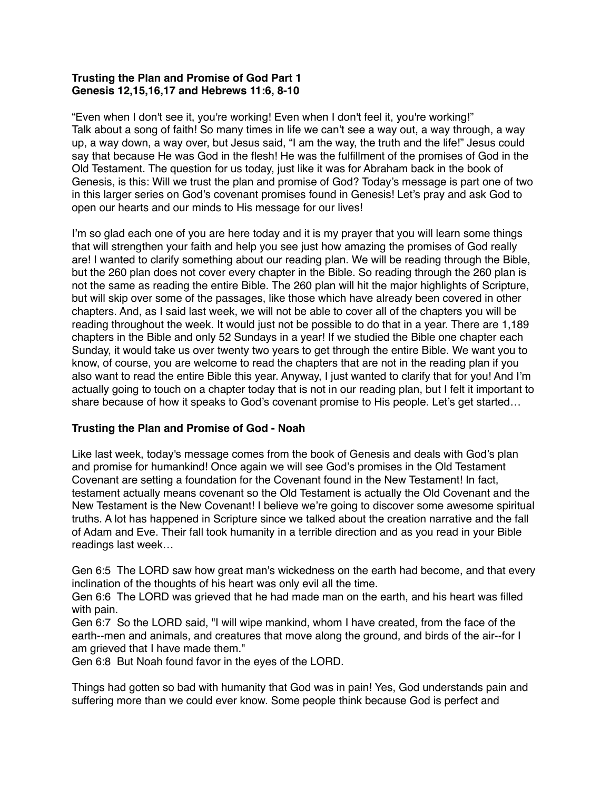## **Trusting the Plan and Promise of God Part 1 Genesis 12,15,16,17 and Hebrews 11:6, 8-10**

"Even when I don't see it, you're working! Even when I don't feel it, you're working!" Talk about a song of faith! So many times in life we can't see a way out, a way through, a way up, a way down, a way over, but Jesus said, "I am the way, the truth and the life!" Jesus could say that because He was God in the flesh! He was the fulfillment of the promises of God in the Old Testament. The question for us today, just like it was for Abraham back in the book of Genesis, is this: Will we trust the plan and promise of God? Today's message is part one of two in this larger series on God's covenant promises found in Genesis! Let's pray and ask God to open our hearts and our minds to His message for our lives!

I'm so glad each one of you are here today and it is my prayer that you will learn some things that will strengthen your faith and help you see just how amazing the promises of God really are! I wanted to clarify something about our reading plan. We will be reading through the Bible, but the 260 plan does not cover every chapter in the Bible. So reading through the 260 plan is not the same as reading the entire Bible. The 260 plan will hit the major highlights of Scripture, but will skip over some of the passages, like those which have already been covered in other chapters. And, as I said last week, we will not be able to cover all of the chapters you will be reading throughout the week. It would just not be possible to do that in a year. There are 1,189 chapters in the Bible and only 52 Sundays in a year! If we studied the Bible one chapter each Sunday, it would take us over twenty two years to get through the entire Bible. We want you to know, of course, you are welcome to read the chapters that are not in the reading plan if you also want to read the entire Bible this year. Anyway, I just wanted to clarify that for you! And I'm actually going to touch on a chapter today that is not in our reading plan, but I felt it important to share because of how it speaks to God's covenant promise to His people. Let's get started…

# **Trusting the Plan and Promise of God - Noah**

Like last week, today's message comes from the book of Genesis and deals with God's plan and promise for humankind! Once again we will see God's promises in the Old Testament Covenant are setting a foundation for the Covenant found in the New Testament! In fact, testament actually means covenant so the Old Testament is actually the Old Covenant and the New Testament is the New Covenant! I believe we're going to discover some awesome spiritual truths. A lot has happened in Scripture since we talked about the creation narrative and the fall of Adam and Eve. Their fall took humanity in a terrible direction and as you read in your Bible readings last week…

Gen 6:5 The LORD saw how great man's wickedness on the earth had become, and that every inclination of the thoughts of his heart was only evil all the time.

Gen 6:6 The LORD was grieved that he had made man on the earth, and his heart was filled with pain.

Gen 6:7 So the LORD said, "I will wipe mankind, whom I have created, from the face of the earth--men and animals, and creatures that move along the ground, and birds of the air--for I am grieved that I have made them."

Gen 6:8 But Noah found favor in the eyes of the LORD.

Things had gotten so bad with humanity that God was in pain! Yes, God understands pain and suffering more than we could ever know. Some people think because God is perfect and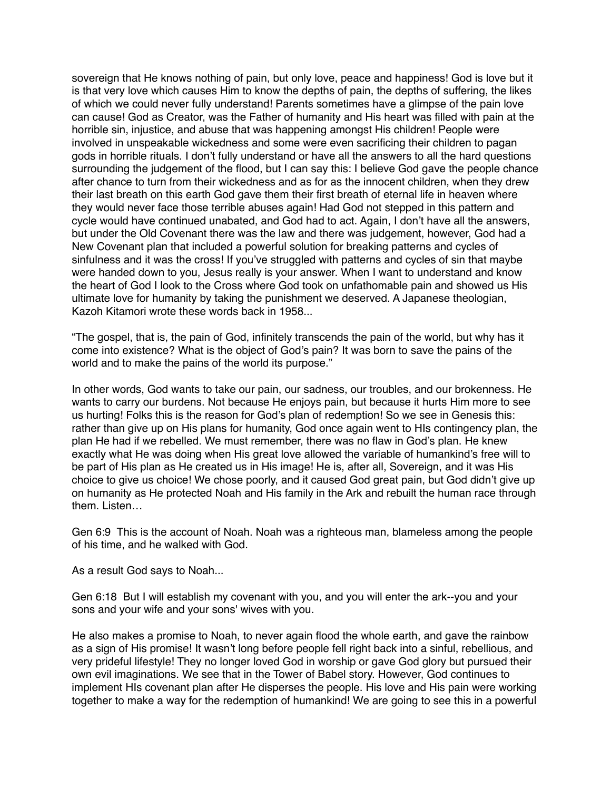sovereign that He knows nothing of pain, but only love, peace and happiness! God is love but it is that very love which causes Him to know the depths of pain, the depths of suffering, the likes of which we could never fully understand! Parents sometimes have a glimpse of the pain love can cause! God as Creator, was the Father of humanity and His heart was filled with pain at the horrible sin, injustice, and abuse that was happening amongst His children! People were involved in unspeakable wickedness and some were even sacrificing their children to pagan gods in horrible rituals. I don't fully understand or have all the answers to all the hard questions surrounding the judgement of the flood, but I can say this: I believe God gave the people chance after chance to turn from their wickedness and as for as the innocent children, when they drew their last breath on this earth God gave them their first breath of eternal life in heaven where they would never face those terrible abuses again! Had God not stepped in this pattern and cycle would have continued unabated, and God had to act. Again, I don't have all the answers, but under the Old Covenant there was the law and there was judgement, however, God had a New Covenant plan that included a powerful solution for breaking patterns and cycles of sinfulness and it was the cross! If you've struggled with patterns and cycles of sin that maybe were handed down to you, Jesus really is your answer. When I want to understand and know the heart of God I look to the Cross where God took on unfathomable pain and showed us His ultimate love for humanity by taking the punishment we deserved. A Japanese theologian, Kazoh Kitamori wrote these words back in 1958...

"The gospel, that is, the pain of God, infinitely transcends the pain of the world, but why has it come into existence? What is the object of God's pain? It was born to save the pains of the world and to make the pains of the world its purpose."

In other words, God wants to take our pain, our sadness, our troubles, and our brokenness. He wants to carry our burdens. Not because He enjoys pain, but because it hurts Him more to see us hurting! Folks this is the reason for God's plan of redemption! So we see in Genesis this: rather than give up on His plans for humanity, God once again went to HIs contingency plan, the plan He had if we rebelled. We must remember, there was no flaw in God's plan. He knew exactly what He was doing when His great love allowed the variable of humankind's free will to be part of His plan as He created us in His image! He is, after all, Sovereign, and it was His choice to give us choice! We chose poorly, and it caused God great pain, but God didn't give up on humanity as He protected Noah and His family in the Ark and rebuilt the human race through them. Listen…

Gen 6:9 This is the account of Noah. Noah was a righteous man, blameless among the people of his time, and he walked with God.

As a result God says to Noah...

Gen 6:18 But I will establish my covenant with you, and you will enter the ark--you and your sons and your wife and your sons' wives with you.

He also makes a promise to Noah, to never again flood the whole earth, and gave the rainbow as a sign of His promise! It wasn't long before people fell right back into a sinful, rebellious, and very prideful lifestyle! They no longer loved God in worship or gave God glory but pursued their own evil imaginations. We see that in the Tower of Babel story. However, God continues to implement HIs covenant plan after He disperses the people. His love and His pain were working together to make a way for the redemption of humankind! We are going to see this in a powerful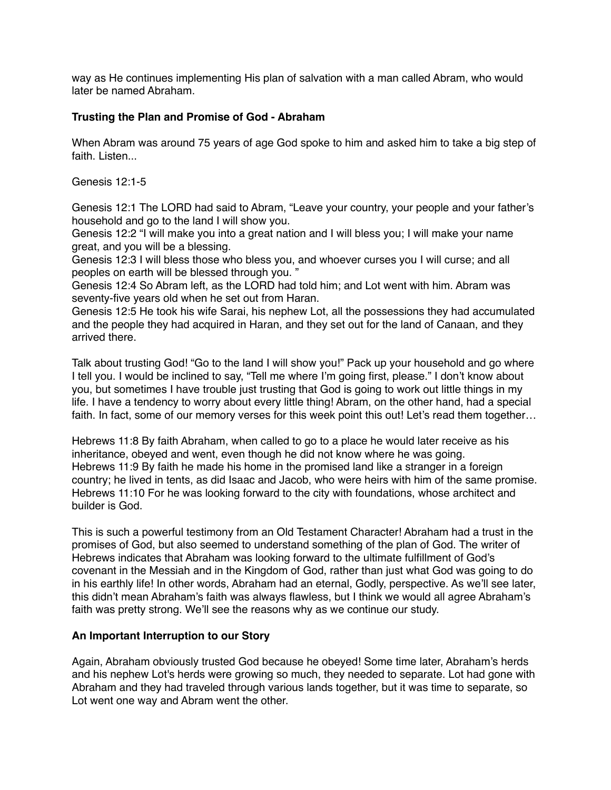way as He continues implementing His plan of salvation with a man called Abram, who would later be named Abraham.

### **Trusting the Plan and Promise of God - Abraham**

When Abram was around 75 years of age God spoke to him and asked him to take a big step of faith. Listen.

Genesis 12:1-5

Genesis 12:1 The LORD had said to Abram, "Leave your country, your people and your father's household and go to the land I will show you.

Genesis 12:2 "I will make you into a great nation and I will bless you; I will make your name great, and you will be a blessing.

Genesis 12:3 I will bless those who bless you, and whoever curses you I will curse; and all peoples on earth will be blessed through you. "

Genesis 12:4 So Abram left, as the LORD had told him; and Lot went with him. Abram was seventy-five years old when he set out from Haran.

Genesis 12:5 He took his wife Sarai, his nephew Lot, all the possessions they had accumulated and the people they had acquired in Haran, and they set out for the land of Canaan, and they arrived there.

Talk about trusting God! "Go to the land I will show you!" Pack up your household and go where I tell you. I would be inclined to say, "Tell me where I'm going first, please." I don't know about you, but sometimes I have trouble just trusting that God is going to work out little things in my life. I have a tendency to worry about every little thing! Abram, on the other hand, had a special faith. In fact, some of our memory verses for this week point this out! Let's read them together...

Hebrews 11:8 By faith Abraham, when called to go to a place he would later receive as his inheritance, obeyed and went, even though he did not know where he was going. Hebrews 11:9 By faith he made his home in the promised land like a stranger in a foreign country; he lived in tents, as did Isaac and Jacob, who were heirs with him of the same promise. Hebrews 11:10 For he was looking forward to the city with foundations, whose architect and builder is God.

This is such a powerful testimony from an Old Testament Character! Abraham had a trust in the promises of God, but also seemed to understand something of the plan of God. The writer of Hebrews indicates that Abraham was looking forward to the ultimate fulfillment of God's covenant in the Messiah and in the Kingdom of God, rather than just what God was going to do in his earthly life! In other words, Abraham had an eternal, Godly, perspective. As we'll see later, this didn't mean Abraham's faith was always flawless, but I think we would all agree Abraham's faith was pretty strong. We'll see the reasons why as we continue our study.

### **An Important Interruption to our Story**

Again, Abraham obviously trusted God because he obeyed! Some time later, Abraham's herds and his nephew Lot's herds were growing so much, they needed to separate. Lot had gone with Abraham and they had traveled through various lands together, but it was time to separate, so Lot went one way and Abram went the other.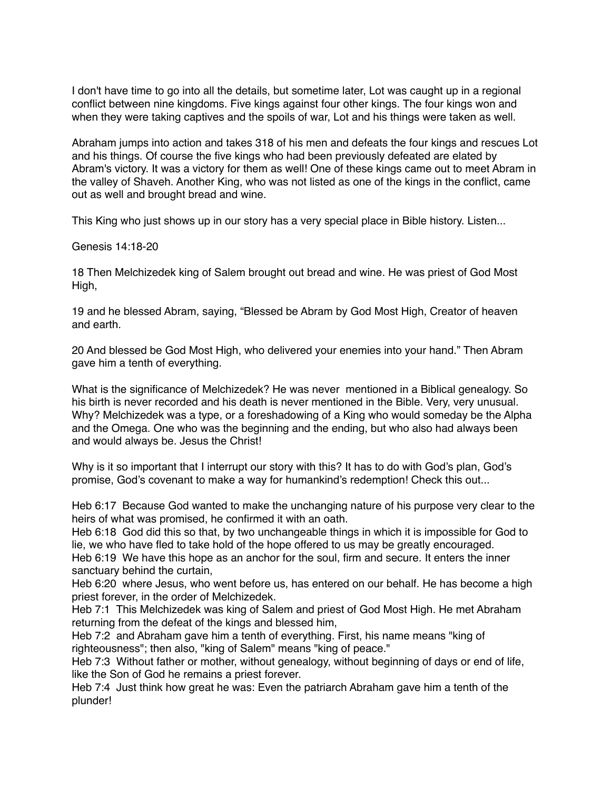I don't have time to go into all the details, but sometime later, Lot was caught up in a regional conflict between nine kingdoms. Five kings against four other kings. The four kings won and when they were taking captives and the spoils of war, Lot and his things were taken as well.

Abraham jumps into action and takes 318 of his men and defeats the four kings and rescues Lot and his things. Of course the five kings who had been previously defeated are elated by Abram's victory. It was a victory for them as well! One of these kings came out to meet Abram in the valley of Shaveh. Another King, who was not listed as one of the kings in the conflict, came out as well and brought bread and wine.

This King who just shows up in our story has a very special place in Bible history. Listen...

Genesis 14:18-20

18 Then Melchizedek king of Salem brought out bread and wine. He was priest of God Most High,

19 and he blessed Abram, saying, "Blessed be Abram by God Most High, Creator of heaven and earth.

20 And blessed be God Most High, who delivered your enemies into your hand." Then Abram gave him a tenth of everything.

What is the significance of Melchizedek? He was never mentioned in a Biblical genealogy. So his birth is never recorded and his death is never mentioned in the Bible. Very, very unusual. Why? Melchizedek was a type, or a foreshadowing of a King who would someday be the Alpha and the Omega. One who was the beginning and the ending, but who also had always been and would always be. Jesus the Christ!

Why is it so important that I interrupt our story with this? It has to do with God's plan, God's promise, God's covenant to make a way for humankind's redemption! Check this out...

Heb 6:17 Because God wanted to make the unchanging nature of his purpose very clear to the heirs of what was promised, he confirmed it with an oath.

Heb 6:18 God did this so that, by two unchangeable things in which it is impossible for God to lie, we who have fled to take hold of the hope offered to us may be greatly encouraged.

Heb 6:19 We have this hope as an anchor for the soul, firm and secure. It enters the inner sanctuary behind the curtain,

Heb 6:20 where Jesus, who went before us, has entered on our behalf. He has become a high priest forever, in the order of Melchizedek.

Heb 7:1 This Melchizedek was king of Salem and priest of God Most High. He met Abraham returning from the defeat of the kings and blessed him,

Heb 7:2 and Abraham gave him a tenth of everything. First, his name means "king of righteousness"; then also, "king of Salem" means "king of peace."

Heb 7:3 Without father or mother, without genealogy, without beginning of days or end of life, like the Son of God he remains a priest forever.

Heb 7:4 Just think how great he was: Even the patriarch Abraham gave him a tenth of the plunder!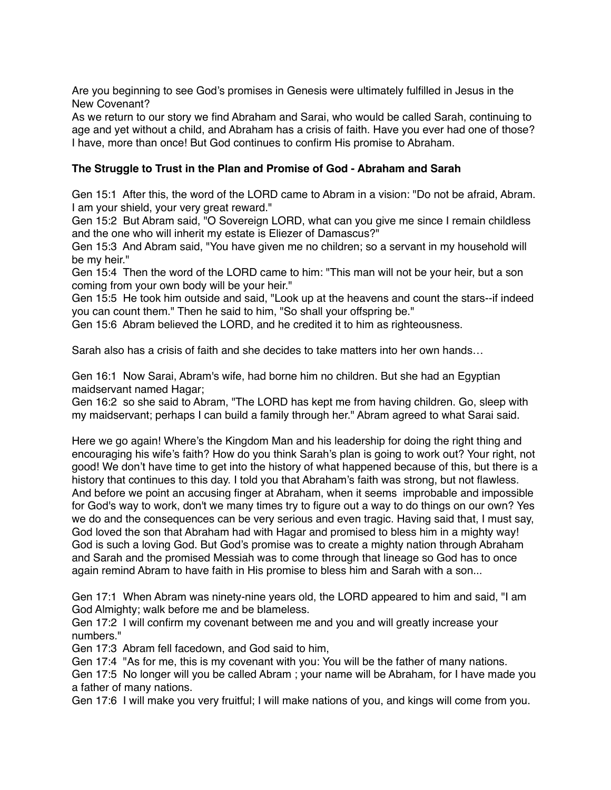Are you beginning to see God's promises in Genesis were ultimately fulfilled in Jesus in the New Covenant?

As we return to our story we find Abraham and Sarai, who would be called Sarah, continuing to age and yet without a child, and Abraham has a crisis of faith. Have you ever had one of those? I have, more than once! But God continues to confirm His promise to Abraham.

#### **The Struggle to Trust in the Plan and Promise of God - Abraham and Sarah**

Gen 15:1 After this, the word of the LORD came to Abram in a vision: "Do not be afraid, Abram. I am your shield, your very great reward."

Gen 15:2 But Abram said, "O Sovereign LORD, what can you give me since I remain childless and the one who will inherit my estate is Eliezer of Damascus?"

Gen 15:3 And Abram said, "You have given me no children; so a servant in my household will be my heir."

Gen 15:4 Then the word of the LORD came to him: "This man will not be your heir, but a son coming from your own body will be your heir."

Gen 15:5 He took him outside and said, "Look up at the heavens and count the stars--if indeed you can count them." Then he said to him, "So shall your offspring be."

Gen 15:6 Abram believed the LORD, and he credited it to him as righteousness.

Sarah also has a crisis of faith and she decides to take matters into her own hands…

Gen 16:1 Now Sarai, Abram's wife, had borne him no children. But she had an Egyptian maidservant named Hagar;

Gen 16:2 so she said to Abram, "The LORD has kept me from having children. Go, sleep with my maidservant; perhaps I can build a family through her." Abram agreed to what Sarai said.

Here we go again! Where's the Kingdom Man and his leadership for doing the right thing and encouraging his wife's faith? How do you think Sarah's plan is going to work out? Your right, not good! We don't have time to get into the history of what happened because of this, but there is a history that continues to this day. I told you that Abraham's faith was strong, but not flawless. And before we point an accusing finger at Abraham, when it seems improbable and impossible for God's way to work, don't we many times try to figure out a way to do things on our own? Yes we do and the consequences can be very serious and even tragic. Having said that, I must say, God loved the son that Abraham had with Hagar and promised to bless him in a mighty way! God is such a loving God. But God's promise was to create a mighty nation through Abraham and Sarah and the promised Messiah was to come through that lineage so God has to once again remind Abram to have faith in His promise to bless him and Sarah with a son...

Gen 17:1 When Abram was ninety-nine years old, the LORD appeared to him and said, "I am God Almighty; walk before me and be blameless.

Gen 17:2 I will confirm my covenant between me and you and will greatly increase your numbers."

Gen 17:3 Abram fell facedown, and God said to him,

Gen 17:4 "As for me, this is my covenant with you: You will be the father of many nations.

Gen 17:5 No longer will you be called Abram ; your name will be Abraham, for I have made you a father of many nations.

Gen 17:6 I will make you very fruitful; I will make nations of you, and kings will come from you.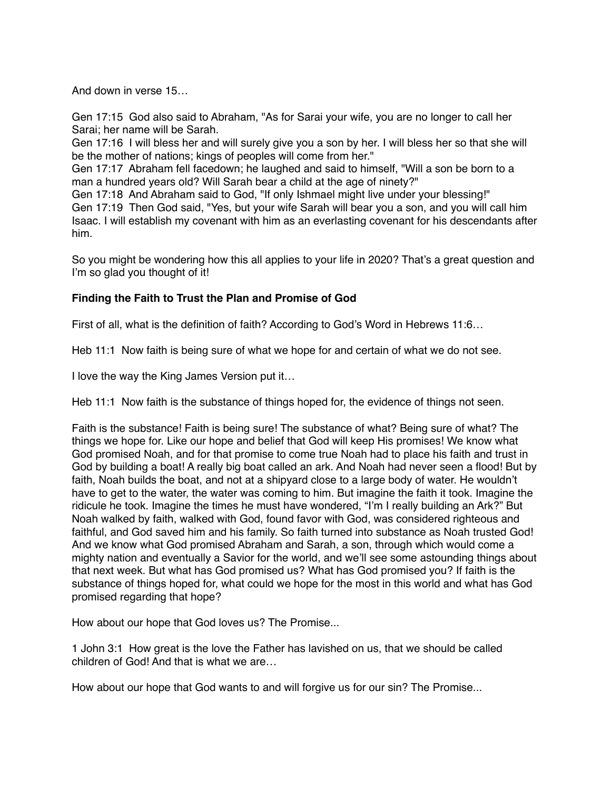And down in verse 15…

Gen 17:15 God also said to Abraham, "As for Sarai your wife, you are no longer to call her Sarai; her name will be Sarah.

Gen 17:16 I will bless her and will surely give you a son by her. I will bless her so that she will be the mother of nations; kings of peoples will come from her."

Gen 17:17 Abraham fell facedown; he laughed and said to himself, "Will a son be born to a man a hundred years old? Will Sarah bear a child at the age of ninety?"

Gen 17:18 And Abraham said to God, "If only Ishmael might live under your blessing!" Gen 17:19 Then God said, "Yes, but your wife Sarah will bear you a son, and you will call him Isaac. I will establish my covenant with him as an everlasting covenant for his descendants after him.

So you might be wondering how this all applies to your life in 2020? That's a great question and I'm so glad you thought of it!

## **Finding the Faith to Trust the Plan and Promise of God**

First of all, what is the definition of faith? According to God's Word in Hebrews 11:6…

Heb 11:1 Now faith is being sure of what we hope for and certain of what we do not see.

I love the way the King James Version put it…

Heb 11:1 Now faith is the substance of things hoped for, the evidence of things not seen.

Faith is the substance! Faith is being sure! The substance of what? Being sure of what? The things we hope for. Like our hope and belief that God will keep His promises! We know what God promised Noah, and for that promise to come true Noah had to place his faith and trust in God by building a boat! A really big boat called an ark. And Noah had never seen a flood! But by faith, Noah builds the boat, and not at a shipyard close to a large body of water. He wouldn't have to get to the water, the water was coming to him. But imagine the faith it took. Imagine the ridicule he took. Imagine the times he must have wondered, "I'm I really building an Ark?" But Noah walked by faith, walked with God, found favor with God, was considered righteous and faithful, and God saved him and his family. So faith turned into substance as Noah trusted God! And we know what God promised Abraham and Sarah, a son, through which would come a mighty nation and eventually a Savior for the world, and we'll see some astounding things about that next week. But what has God promised us? What has God promised you? If faith is the substance of things hoped for, what could we hope for the most in this world and what has God promised regarding that hope?

How about our hope that God loves us? The Promise...

1 John 3:1 How great is the love the Father has lavished on us, that we should be called children of God! And that is what we are…

How about our hope that God wants to and will forgive us for our sin? The Promise...